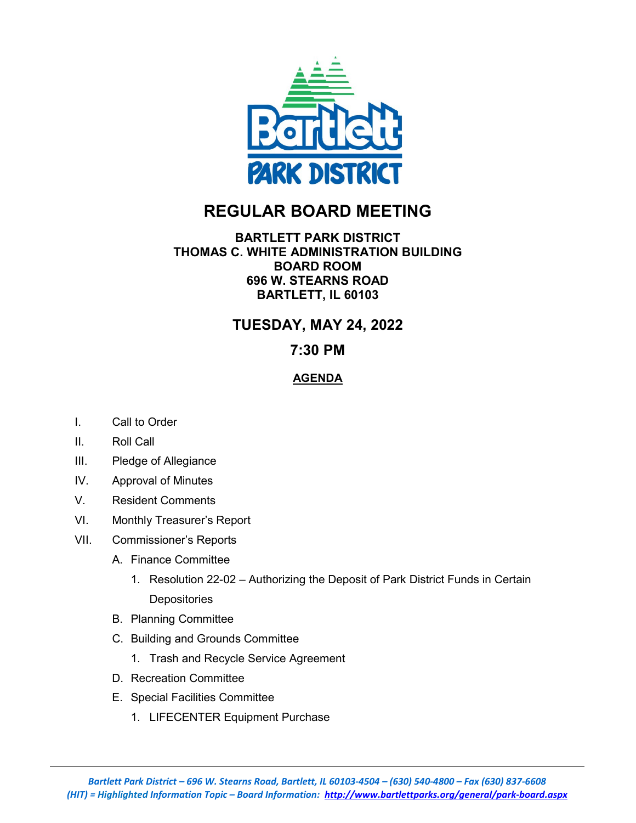

# **REGULAR BOARD MEETING**

#### **BARTLETT PARK DISTRICT THOMAS C. WHITE ADMINISTRATION BUILDING BOARD ROOM 696 W. STEARNS ROAD BARTLETT, IL 60103**

## **TUESDAY, MAY 24, 2022**

### **7:30 PM**

#### **AGENDA**

- I. Call to Order
- II. Roll Call
- III. Pledge of Allegiance
- IV. Approval of Minutes
- V. Resident Comments
- VI. Monthly Treasurer's Report
- VII. Commissioner's Reports
	- A. Finance Committee
		- 1. Resolution 22-02 Authorizing the Deposit of Park District Funds in Certain Depositories
	- B. Planning Committee
	- C. Building and Grounds Committee
		- 1. Trash and Recycle Service Agreement
	- D. Recreation Committee
	- E. Special Facilities Committee
		- 1. LIFECENTER Equipment Purchase